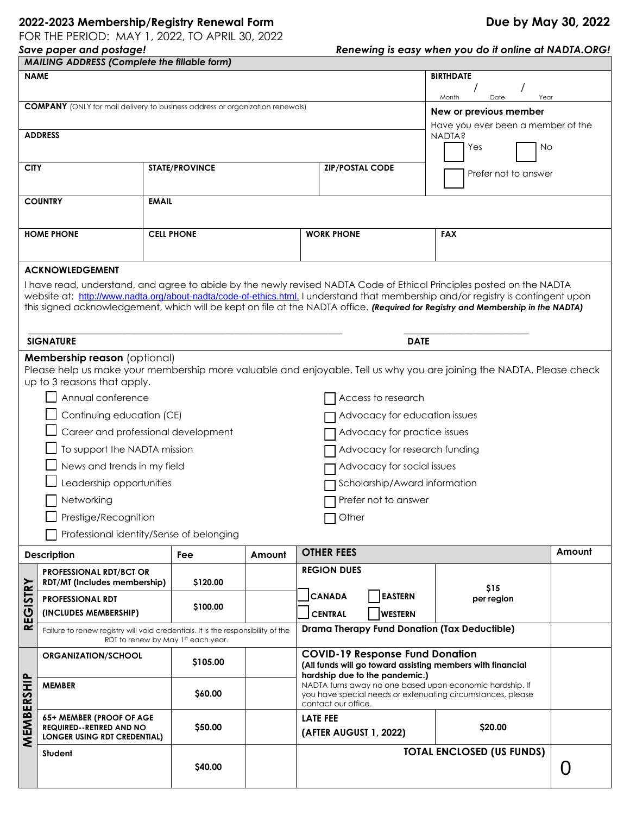## **2022-2023 Membership/Registry Renewal Form Due by May 30, 2022**

FOR THE PERIOD: MAY 1, 2022, TO APRIL 30, 2022<br>Save paper and postage!

*Save paper and postage! Renewing is easy when you do it online at NADTA.ORG!*

| <b>MAILING ADDRESS (Complete the fillable form)</b>                                                                                                                                                                                                                                                                                                                                            |                                                                                                                                 |                                    |                   |                                                                                                                                                                                                                                                                                                                                                     |                                                     |                                                                  |   |  |  |
|------------------------------------------------------------------------------------------------------------------------------------------------------------------------------------------------------------------------------------------------------------------------------------------------------------------------------------------------------------------------------------------------|---------------------------------------------------------------------------------------------------------------------------------|------------------------------------|-------------------|-----------------------------------------------------------------------------------------------------------------------------------------------------------------------------------------------------------------------------------------------------------------------------------------------------------------------------------------------------|-----------------------------------------------------|------------------------------------------------------------------|---|--|--|
| <b>NAME</b>                                                                                                                                                                                                                                                                                                                                                                                    |                                                                                                                                 |                                    |                   | <b>BIRTHDATE</b><br>Year                                                                                                                                                                                                                                                                                                                            |                                                     |                                                                  |   |  |  |
|                                                                                                                                                                                                                                                                                                                                                                                                | Month<br>Date<br><b>COMPANY</b> (ONLY for mail delivery to business address or organization renewals)<br>New or previous member |                                    |                   |                                                                                                                                                                                                                                                                                                                                                     |                                                     |                                                                  |   |  |  |
| <b>ADDRESS</b>                                                                                                                                                                                                                                                                                                                                                                                 |                                                                                                                                 |                                    |                   |                                                                                                                                                                                                                                                                                                                                                     |                                                     | Have you ever been a member of the<br><b>NADIA?</b><br>Yes<br>No |   |  |  |
| <b>CITY</b>                                                                                                                                                                                                                                                                                                                                                                                    |                                                                                                                                 | <b>STATE/PROVINCE</b>              |                   |                                                                                                                                                                                                                                                                                                                                                     | <b>ZIP/POSTAL CODE</b>                              | Prefer not to answer                                             |   |  |  |
| <b>COUNTRY</b><br><b>EMAIL</b>                                                                                                                                                                                                                                                                                                                                                                 |                                                                                                                                 |                                    |                   |                                                                                                                                                                                                                                                                                                                                                     |                                                     |                                                                  |   |  |  |
| <b>HOME PHONE</b>                                                                                                                                                                                                                                                                                                                                                                              |                                                                                                                                 | <b>CELL PHONE</b>                  |                   | <b>WORK PHONE</b>                                                                                                                                                                                                                                                                                                                                   |                                                     | <b>FAX</b>                                                       |   |  |  |
|                                                                                                                                                                                                                                                                                                                                                                                                | <b>ACKNOWLEDGEMENT</b>                                                                                                          |                                    |                   |                                                                                                                                                                                                                                                                                                                                                     |                                                     |                                                                  |   |  |  |
| I have read, understand, and agree to abide by the newly revised NADTA Code of Ethical Principles posted on the NADTA<br>website at: http://www.nadta.org/about-nadta/code-of-ethics.html. I understand that membership and/or registry is contingent upon<br>this signed acknowledgement, which will be kept on file at the NADTA office. (Required for Registry and Membership in the NADTA) |                                                                                                                                 |                                    |                   |                                                                                                                                                                                                                                                                                                                                                     |                                                     |                                                                  |   |  |  |
|                                                                                                                                                                                                                                                                                                                                                                                                | <b>SIGNATURE</b>                                                                                                                |                                    |                   |                                                                                                                                                                                                                                                                                                                                                     | <b>DATE</b>                                         |                                                                  |   |  |  |
| <b>Membership reason</b> (optional)<br>up to 3 reasons that apply.<br>Annual conference<br>Continuing education (CE)<br>Career and professional development<br>To support the NADTA mission<br>News and trends in my field<br>Leadership opportunities<br>Networking<br>Prestige/Recognition<br>Professional identity/Sense of belonging                                                       |                                                                                                                                 |                                    |                   | Please help us make your membership more valuable and enjoyable. Tell us why you are joining the NADTA. Please check<br>Access to research<br>Advocacy for education issues<br>Advocacy for practice issues<br>Advocacy for research funding<br>Advocacy for social issues<br>Scholarship/Award information<br>Prefer not to answer<br>$\Box$ Other |                                                     |                                                                  |   |  |  |
| <b>Description</b><br>Fee                                                                                                                                                                                                                                                                                                                                                                      |                                                                                                                                 | Amount                             | <b>OTHER FEES</b> |                                                                                                                                                                                                                                                                                                                                                     |                                                     | Amount                                                           |   |  |  |
| <b>REGISTRY</b>                                                                                                                                                                                                                                                                                                                                                                                | <b>PROFESSIONAL RDT/BCT OR</b><br>RDT/MT (Includes membership)                                                                  | \$120.00                           |                   | <b>REGION DUES</b><br><b>CANADA</b><br><b>EASTERN</b>                                                                                                                                                                                                                                                                                               |                                                     | \$15                                                             |   |  |  |
|                                                                                                                                                                                                                                                                                                                                                                                                | <b>PROFESSIONAL RDT</b><br>(INCLUDES MEMBERSHIP)                                                                                | \$100.00                           |                   | <b>CENTRAL</b>                                                                                                                                                                                                                                                                                                                                      | <b>WESTERN</b>                                      | per region                                                       |   |  |  |
|                                                                                                                                                                                                                                                                                                                                                                                                | Failure to renew registry will void credentials. It is the responsibility of the                                                | RDT to renew by May 1st each year. |                   |                                                                                                                                                                                                                                                                                                                                                     | <b>Drama Therapy Fund Donation (Tax Deductible)</b> |                                                                  |   |  |  |
|                                                                                                                                                                                                                                                                                                                                                                                                | <b>ORGANIZATION/SCHOOL</b>                                                                                                      | \$105.00                           |                   | <b>COVID-19 Response Fund Donation</b><br>(All funds will go toward assisting members with financial<br>hardship due to the pandemic.)<br>NADTA turns away no one based upon economic hardship. If<br>you have special needs or extenuating circumstances, please<br>contact our office.                                                            |                                                     |                                                                  |   |  |  |
| MEMBERSHIP                                                                                                                                                                                                                                                                                                                                                                                     | <b>MEMBER</b>                                                                                                                   | \$60.00                            |                   |                                                                                                                                                                                                                                                                                                                                                     |                                                     |                                                                  |   |  |  |
|                                                                                                                                                                                                                                                                                                                                                                                                | 65+ MEMBER (PROOF OF AGE<br><b>REQUIRED--RETIRED AND NO</b><br>LONGER USING RDT CREDENTIAL)                                     | \$50.00                            |                   | <b>LATE FEE</b><br>(AFTER AUGUST 1, 2022)                                                                                                                                                                                                                                                                                                           |                                                     | \$20.00                                                          |   |  |  |
|                                                                                                                                                                                                                                                                                                                                                                                                | <b>Student</b>                                                                                                                  | \$40.00                            |                   |                                                                                                                                                                                                                                                                                                                                                     |                                                     | <b>TOTAL ENCLOSED (US FUNDS)</b>                                 | Ô |  |  |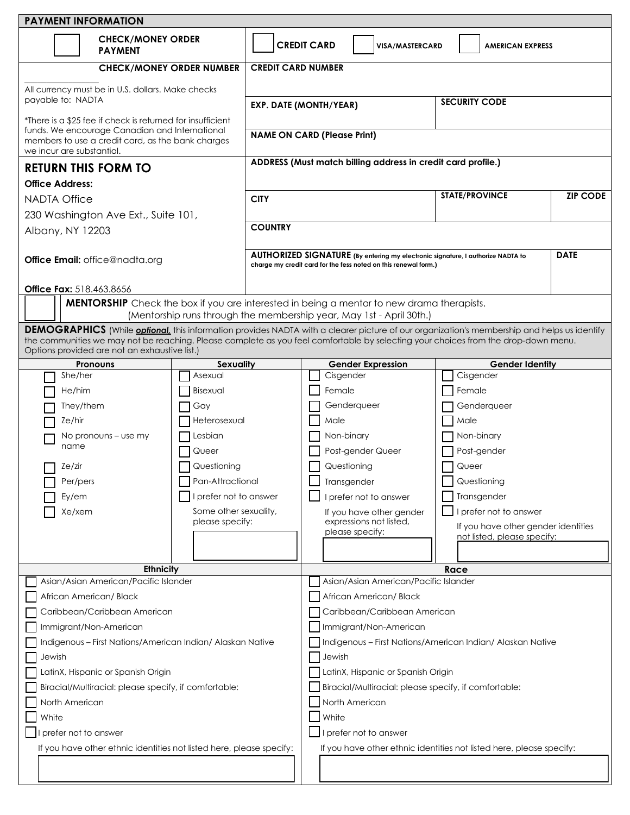| <b>PAYMENT INFORMATION</b>                                                                                                                                                          |                                                                      |                                                                                                                                                                   |                                                            |                                                                      |                                                             |                             |  |  |
|-------------------------------------------------------------------------------------------------------------------------------------------------------------------------------------|----------------------------------------------------------------------|-------------------------------------------------------------------------------------------------------------------------------------------------------------------|------------------------------------------------------------|----------------------------------------------------------------------|-------------------------------------------------------------|-----------------------------|--|--|
| <b>CHECK/MONEY ORDER</b><br><b>PAYMENT</b>                                                                                                                                          |                                                                      |                                                                                                                                                                   | <b>CREDIT CARD</b>                                         | VISA/MASTERCARD                                                      |                                                             | <b>AMERICAN EXPRESS</b>     |  |  |
|                                                                                                                                                                                     | <b>CHECK/MONEY ORDER NUMBER</b>                                      |                                                                                                                                                                   | <b>CREDIT CARD NUMBER</b>                                  |                                                                      |                                                             |                             |  |  |
| All currency must be in U.S. dollars. Make checks<br>payable to: NADTA                                                                                                              | <b>SECURITY CODE</b><br><b>EXP. DATE (MONTH/YEAR)</b>                |                                                                                                                                                                   |                                                            |                                                                      |                                                             |                             |  |  |
| *There is a \$25 fee if check is returned for insufficient<br>funds. We encourage Canadian and International<br>members to use a credit card, as the bank charges                   | <b>NAME ON CARD (Please Print)</b>                                   |                                                                                                                                                                   |                                                            |                                                                      |                                                             |                             |  |  |
| we incur are substantial.                                                                                                                                                           |                                                                      |                                                                                                                                                                   |                                                            |                                                                      |                                                             |                             |  |  |
| <b>RETURN THIS FORM TO</b>                                                                                                                                                          |                                                                      | ADDRESS (Must match billing address in credit card profile.)                                                                                                      |                                                            |                                                                      |                                                             |                             |  |  |
| <b>Office Address:</b>                                                                                                                                                              |                                                                      |                                                                                                                                                                   |                                                            |                                                                      |                                                             |                             |  |  |
| <b>NADIA Office</b>                                                                                                                                                                 |                                                                      | <b>CITY</b>                                                                                                                                                       | <b>STATE/PROVINCE</b>                                      |                                                                      |                                                             | <b>ZIP CODE</b>             |  |  |
| 230 Washington Ave Ext., Suite 101,                                                                                                                                                 |                                                                      |                                                                                                                                                                   |                                                            |                                                                      |                                                             |                             |  |  |
| Albany, NY 12203                                                                                                                                                                    |                                                                      | <b>COUNTRY</b>                                                                                                                                                    |                                                            |                                                                      |                                                             |                             |  |  |
| <b>Office Email:</b> office@nadta.org                                                                                                                                               |                                                                      | <b>DATE</b><br>AUTHORIZED SIGNATURE (By entering my electronic signature, I authorize NADTA to<br>charge my credit card for the fess noted on this renewal form.) |                                                            |                                                                      |                                                             |                             |  |  |
| Office Fax: 518.463.8656                                                                                                                                                            |                                                                      |                                                                                                                                                                   |                                                            |                                                                      |                                                             |                             |  |  |
| <b>MENTORSHIP</b> Check the box if you are interested in being a mentor to new drama therapists.                                                                                    |                                                                      |                                                                                                                                                                   |                                                            |                                                                      |                                                             |                             |  |  |
|                                                                                                                                                                                     | (Mentorship runs through the membership year, May 1st - April 30th.) |                                                                                                                                                                   |                                                            |                                                                      |                                                             |                             |  |  |
| DEMOGRAPHICS (While <i>optional</i> , this information provides NADTA with a clearer picture of our organization's membership and helps us identify                                 |                                                                      |                                                                                                                                                                   |                                                            |                                                                      |                                                             |                             |  |  |
| the communities we may not be reaching. Please complete as you feel comfortable by selecting your choices from the drop-down menu.<br>Options provided are not an exhaustive list.) |                                                                      |                                                                                                                                                                   |                                                            |                                                                      |                                                             |                             |  |  |
| <b>Pronouns</b>                                                                                                                                                                     | Sexuality                                                            |                                                                                                                                                                   |                                                            | <b>Gender Expression</b>                                             |                                                             | <b>Gender Identity</b>      |  |  |
| She/her                                                                                                                                                                             | Asexual                                                              |                                                                                                                                                                   | Cisgender                                                  |                                                                      |                                                             | Cisgender                   |  |  |
| He/him                                                                                                                                                                              | Bisexual                                                             |                                                                                                                                                                   | Female                                                     |                                                                      |                                                             | Female                      |  |  |
| They/them                                                                                                                                                                           | Gay                                                                  |                                                                                                                                                                   | Genderqueer                                                |                                                                      | Genderqueer                                                 |                             |  |  |
| Ze/hir                                                                                                                                                                              | Heterosexual                                                         |                                                                                                                                                                   | Male                                                       |                                                                      |                                                             | Male                        |  |  |
| No pronouns – use my                                                                                                                                                                | Lesbian                                                              |                                                                                                                                                                   | Non-binary                                                 |                                                                      | Non-binary                                                  |                             |  |  |
| name                                                                                                                                                                                | Queer                                                                |                                                                                                                                                                   |                                                            | Post-gender Queer                                                    |                                                             | Post-gender                 |  |  |
| Ze/zir                                                                                                                                                                              | Questioning                                                          |                                                                                                                                                                   | Questioning                                                |                                                                      |                                                             | Queer                       |  |  |
| Per/pers                                                                                                                                                                            | Pan-Attractional                                                     |                                                                                                                                                                   | Transgender                                                |                                                                      |                                                             | Questioning                 |  |  |
| Ey/em                                                                                                                                                                               | prefer not to answer                                                 |                                                                                                                                                                   |                                                            | I prefer not to answer                                               | Transgender                                                 |                             |  |  |
| Xe/xem                                                                                                                                                                              |                                                                      | Some other sexuality,<br>please specify:                                                                                                                          |                                                            | If you have other gender<br>expressions not listed,                  | prefer not to answer<br>If you have other gender identities |                             |  |  |
|                                                                                                                                                                                     |                                                                      |                                                                                                                                                                   | please specify:                                            |                                                                      |                                                             | not listed, please specify: |  |  |
|                                                                                                                                                                                     |                                                                      |                                                                                                                                                                   |                                                            |                                                                      |                                                             |                             |  |  |
| <b>Ethnicity</b>                                                                                                                                                                    |                                                                      |                                                                                                                                                                   | Race                                                       |                                                                      |                                                             |                             |  |  |
| Asian/Asian American/Pacific Islander                                                                                                                                               |                                                                      |                                                                                                                                                                   | Asian/Asian American/Pacific Islander                      |                                                                      |                                                             |                             |  |  |
| African American/ Black                                                                                                                                                             |                                                                      |                                                                                                                                                                   | African American/ Black                                    |                                                                      |                                                             |                             |  |  |
| Caribbean/Caribbean American                                                                                                                                                        |                                                                      |                                                                                                                                                                   | Caribbean/Caribbean American                               |                                                                      |                                                             |                             |  |  |
| Immigrant/Non-American                                                                                                                                                              |                                                                      |                                                                                                                                                                   | Immigrant/Non-American                                     |                                                                      |                                                             |                             |  |  |
| Indigenous – First Nations/American Indian/ Alaskan Native                                                                                                                          |                                                                      |                                                                                                                                                                   | Indigenous - First Nations/American Indian/ Alaskan Native |                                                                      |                                                             |                             |  |  |
| Jewish                                                                                                                                                                              |                                                                      |                                                                                                                                                                   | Jewish                                                     |                                                                      |                                                             |                             |  |  |
| LatinX, Hispanic or Spanish Origin                                                                                                                                                  |                                                                      |                                                                                                                                                                   | LatinX, Hispanic or Spanish Origin                         |                                                                      |                                                             |                             |  |  |
| Biracial/Multiracial: please specify, if comfortable:                                                                                                                               |                                                                      |                                                                                                                                                                   | Biracial/Multiracial: please specify, if comfortable:      |                                                                      |                                                             |                             |  |  |
| North American                                                                                                                                                                      |                                                                      |                                                                                                                                                                   | North American                                             |                                                                      |                                                             |                             |  |  |
| White                                                                                                                                                                               |                                                                      |                                                                                                                                                                   | White                                                      |                                                                      |                                                             |                             |  |  |
| prefer not to answer                                                                                                                                                                |                                                                      |                                                                                                                                                                   | I prefer not to answer                                     |                                                                      |                                                             |                             |  |  |
| If you have other ethnic identities not listed here, please specify:                                                                                                                |                                                                      |                                                                                                                                                                   |                                                            | If you have other ethnic identities not listed here, please specify: |                                                             |                             |  |  |
|                                                                                                                                                                                     |                                                                      |                                                                                                                                                                   |                                                            |                                                                      |                                                             |                             |  |  |
|                                                                                                                                                                                     |                                                                      |                                                                                                                                                                   |                                                            |                                                                      |                                                             |                             |  |  |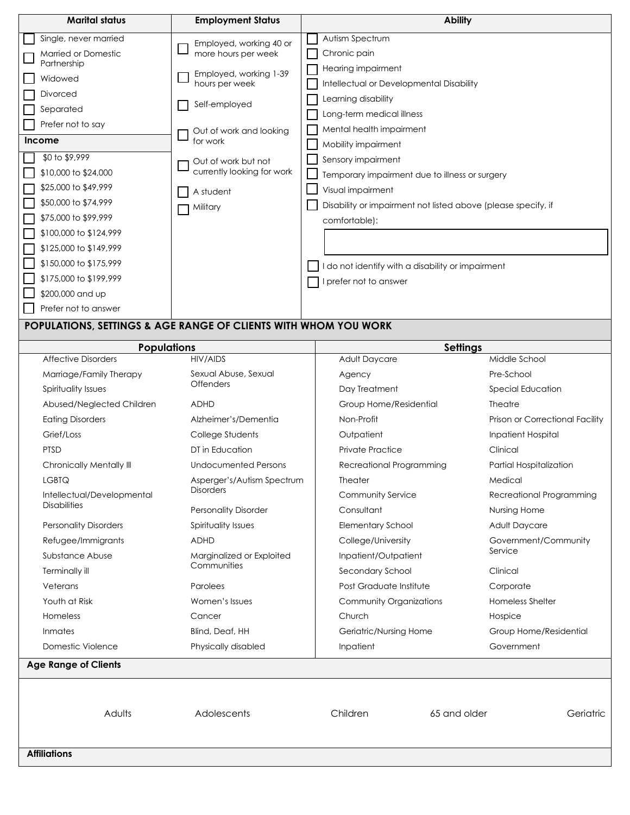| <b>Marital status</b>                                           | <b>Employment Status</b>                                              | <b>Ability</b>                                    |                                                               |  |  |  |  |
|-----------------------------------------------------------------|-----------------------------------------------------------------------|---------------------------------------------------|---------------------------------------------------------------|--|--|--|--|
| Single, never married                                           | Employed, working 40 or                                               | Autism Spectrum                                   |                                                               |  |  |  |  |
| <b>Married or Domestic</b>                                      | more hours per week                                                   | Chronic pain                                      |                                                               |  |  |  |  |
| Partnership                                                     | Employed, working 1-39                                                | Hearing impairment                                |                                                               |  |  |  |  |
| Widowed                                                         | hours per week                                                        | Intellectual or Developmental Disability          |                                                               |  |  |  |  |
| Divorced                                                        | Self-employed                                                         | Learning disability                               |                                                               |  |  |  |  |
| Separated                                                       |                                                                       | Long-term medical illness                         |                                                               |  |  |  |  |
| Prefer not to say                                               | Out of work and looking                                               | Mental health impairment                          |                                                               |  |  |  |  |
| <b>Income</b>                                                   | for work                                                              | Mobility impairment                               |                                                               |  |  |  |  |
| \$0 to \$9,999                                                  | Out of work but not                                                   | Sensory impairment                                |                                                               |  |  |  |  |
| \$10,000 to \$24,000                                            | currently looking for work                                            | Temporary impairment due to illness or surgery    |                                                               |  |  |  |  |
|                                                                 | \$25,000 to \$49,999<br>A student<br>\$50,000 to \$74,999<br>Military |                                                   | Visual impairment                                             |  |  |  |  |
|                                                                 |                                                                       |                                                   | Disability or impairment not listed above (please specify, if |  |  |  |  |
| \$75,000 to \$99,999                                            |                                                                       | comfortable):                                     |                                                               |  |  |  |  |
| \$100,000 to \$124,999                                          |                                                                       |                                                   |                                                               |  |  |  |  |
| \$125,000 to \$149,999                                          |                                                                       |                                                   |                                                               |  |  |  |  |
| \$150,000 to \$175,999                                          |                                                                       | I do not identify with a disability or impairment |                                                               |  |  |  |  |
| \$175,000 to \$199,999                                          |                                                                       | prefer not to answer                              |                                                               |  |  |  |  |
| \$200,000 and up                                                |                                                                       |                                                   |                                                               |  |  |  |  |
| Prefer not to answer                                            |                                                                       |                                                   |                                                               |  |  |  |  |
| POPULATIONS, SETTINGS & AGE RANGE OF CLIENTS WITH WHOM YOU WORK |                                                                       |                                                   |                                                               |  |  |  |  |
|                                                                 |                                                                       |                                                   |                                                               |  |  |  |  |
| <b>Populations</b>                                              |                                                                       | <b>Settings</b>                                   |                                                               |  |  |  |  |
| <b>Affective Disorders</b>                                      | <b>HIV/AIDS</b>                                                       | Adult Daycare                                     | Middle School                                                 |  |  |  |  |
| Marriage/Family Therapy                                         | Sexual Abuse, Sexual                                                  | Agency                                            | Pre-School                                                    |  |  |  |  |
| Spirituality Issues                                             | <b>Offenders</b>                                                      | Day Treatment                                     | <b>Special Education</b>                                      |  |  |  |  |
| Abused/Neglected Children                                       | <b>ADHD</b>                                                           | Group Home/Residential                            | Theatre                                                       |  |  |  |  |
| <b>Eating Disorders</b>                                         | Alzheimer's/Dementia                                                  | Non-Profit                                        | Prison or Correctional Facility                               |  |  |  |  |
| Grief/Loss                                                      | College Students                                                      | Outpatient                                        | <b>Inpatient Hospital</b>                                     |  |  |  |  |
| <b>PTSD</b>                                                     | DT in Education                                                       | <b>Private Practice</b>                           | Clinical                                                      |  |  |  |  |
| Chronically Mentally III                                        | Undocumented Persons                                                  | Recreational Programming                          | Partial Hospitalization                                       |  |  |  |  |
| <b>LGBTQ</b>                                                    | Asperger's/Autism Spectrum                                            | <b>Theater</b>                                    | Medical                                                       |  |  |  |  |
| Intellectual/Developmental                                      | <b>Disorders</b>                                                      | Community Service                                 | Recreational Programming                                      |  |  |  |  |
| <b>Disabilities</b>                                             | <b>Personality Disorder</b>                                           | Consultant                                        | Nursing Home                                                  |  |  |  |  |
| <b>Personality Disorders</b>                                    | Spirituality Issues                                                   | <b>Elementary School</b>                          | Adult Daycare                                                 |  |  |  |  |
| Refugee/Immigrants                                              | <b>ADHD</b>                                                           | College/University                                | Government/Community                                          |  |  |  |  |
| Substance Abuse                                                 | Marginalized or Exploited                                             | Inpatient/Outpatient                              | Service                                                       |  |  |  |  |
| Terminally ill                                                  | Communities                                                           | Secondary School                                  | Clinical                                                      |  |  |  |  |
| Veterans                                                        | Parolees                                                              | Post Graduate Institute                           | Corporate                                                     |  |  |  |  |
| Youth at Risk                                                   | Women's Issues                                                        | <b>Community Organizations</b>                    | <b>Homeless Shelter</b>                                       |  |  |  |  |
| Homeless                                                        | Cancer                                                                | Church                                            | Hospice                                                       |  |  |  |  |
| Inmates                                                         | Blind, Deaf, HH                                                       | Geriatric/Nursing Home                            | Group Home/Residential                                        |  |  |  |  |
| Domestic Violence                                               | Physically disabled                                                   | Inpatient                                         | Government                                                    |  |  |  |  |

Adults Adolescents Children 65 and older Geriatric

**Affiliations**